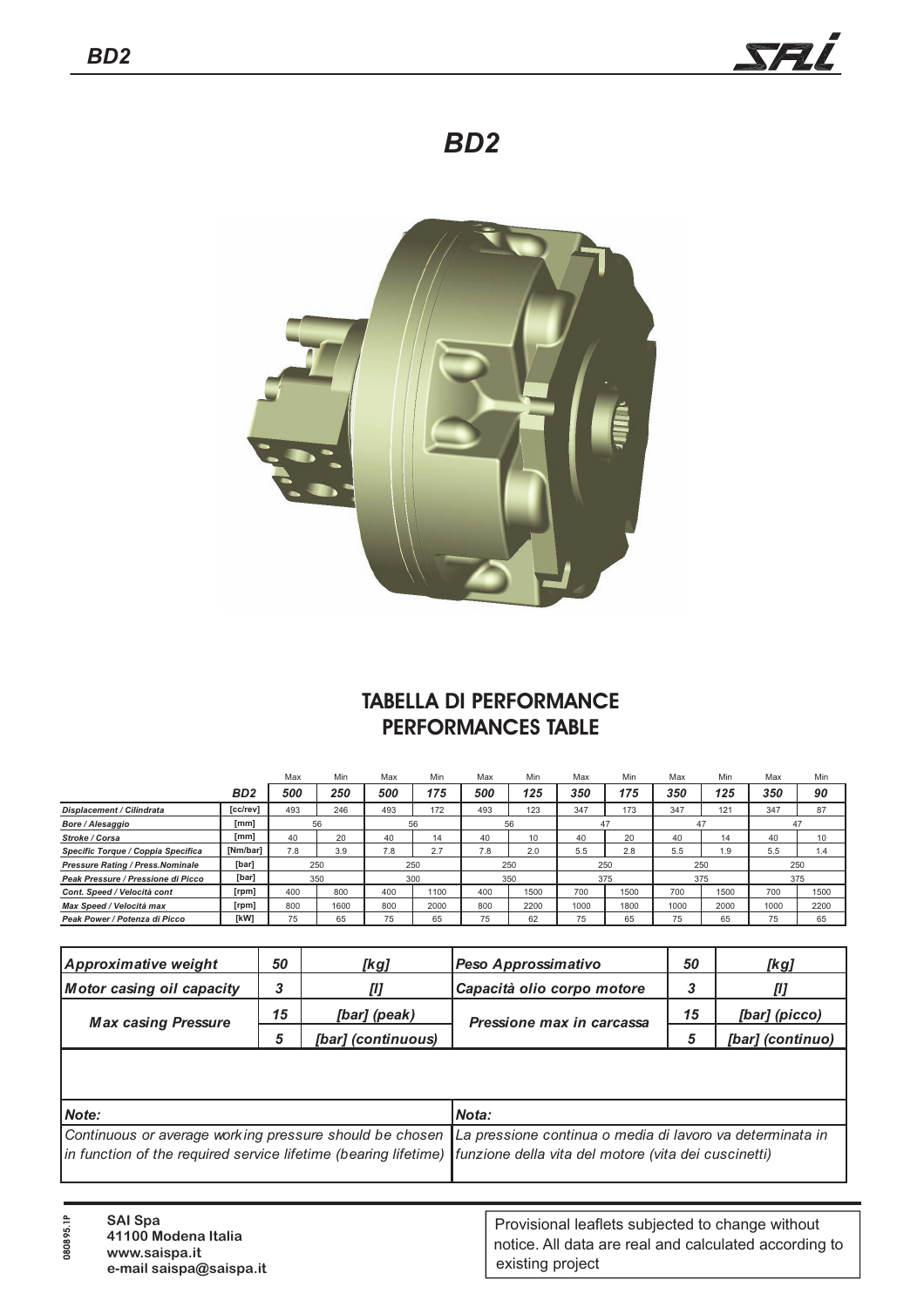

*BD2*



## **TABELLA DI PERFORMANCE PERFORMANCES TABLE**

|                                          |                  | Max | Min  | Max | Min  | Max | Min  | Max  | Min  | Max  | Min  | Max  | Min  |  |
|------------------------------------------|------------------|-----|------|-----|------|-----|------|------|------|------|------|------|------|--|
|                                          | B <sub>D</sub> 2 | 500 | 250  | 500 | 175  | 500 | 125  | 350  | 175  | 350  | 125  | 350  | 90   |  |
| <b>Displacement / Cilindrata</b>         | [cc/rev]         | 493 | 246  | 493 | 172  | 493 | 123  | 347  | 173  | 347  | 121  | 347  | 87   |  |
| Bore / Alesaggio                         | [mm]             | 56  |      | 56  |      | 56  |      | 47   |      | 47   |      | 47   |      |  |
| Stroke / Corsa                           | [mm]             | 40  | 20   | 40  | 14   | 40  | 10   | 40   | 20   | 40   | 14   | 40   | 10   |  |
| Specific Torque / Coppia Specifica       | [Nm/bar]         | 7.8 | 3.9  | 7.8 | 2.7  | 7.8 | 2.0  | 5.5  | 2.8  | 5.5  | 1.9  | 5.5  | 1.4  |  |
| <b>Pressure Rating / Press. Nominale</b> | [bar]            | 250 |      | 250 |      | 250 |      | 250  |      | 250  |      | 250  |      |  |
| Peak Pressure / Pressione di Picco       | [bar]            |     | 350  | 300 |      | 350 |      |      | 375  |      | 375  |      | 375  |  |
| Cont. Speed / Velocità cont              | [rpm]            | 400 | 800  | 400 | 1100 | 400 | 1500 | 700  | 1500 | 700  | 1500 | 700  | 1500 |  |
| Max Speed / Velocità max                 | [rpm]            | 800 | 1600 | 800 | 2000 | 800 | 2200 | 1000 | 1800 | 1000 | 2000 | 1000 | 2200 |  |
| Peak Power / Potenza di Picco            | [kW]             | 75  | 65   | 75  | 65   | 75  | 62   | 75   | 65   | 75   | 65   | 75   | 65   |  |

| Approximative weight       | 50 | [kg]               | Peso Approssimativo        | 50 | [kg]             |
|----------------------------|----|--------------------|----------------------------|----|------------------|
| Motor casing oil capacity  |    |                    | Capacità olio corpo motore |    |                  |
| <b>Max casing Pressure</b> | 15 | [bar] (peak)       | Pressione max in carcassa  | 15 | [bar] (picco)    |
|                            |    | [bar] (continuous) |                            |    | [bar] (continuo) |

| <b>Note:</b>                                                                                                           | Nota: |
|------------------------------------------------------------------------------------------------------------------------|-------|
| Continuous or average working pressure should be chosen La pressione continua o media di lavoro va determinata in      |       |
| in function of the required service lifetime (bearing lifetime)   funzione della vita del motore (vita dei cuscinetti) |       |
|                                                                                                                        |       |

| <b>SAI Spa</b><br>41100 Modena Italia<br>www.saispa.it<br>e-mail saispa@saispa.it | Provisional leaflets subjected to change without<br>notice. All data are real and calculated according to<br>existing project |
|-----------------------------------------------------------------------------------|-------------------------------------------------------------------------------------------------------------------------------|
|-----------------------------------------------------------------------------------|-------------------------------------------------------------------------------------------------------------------------------|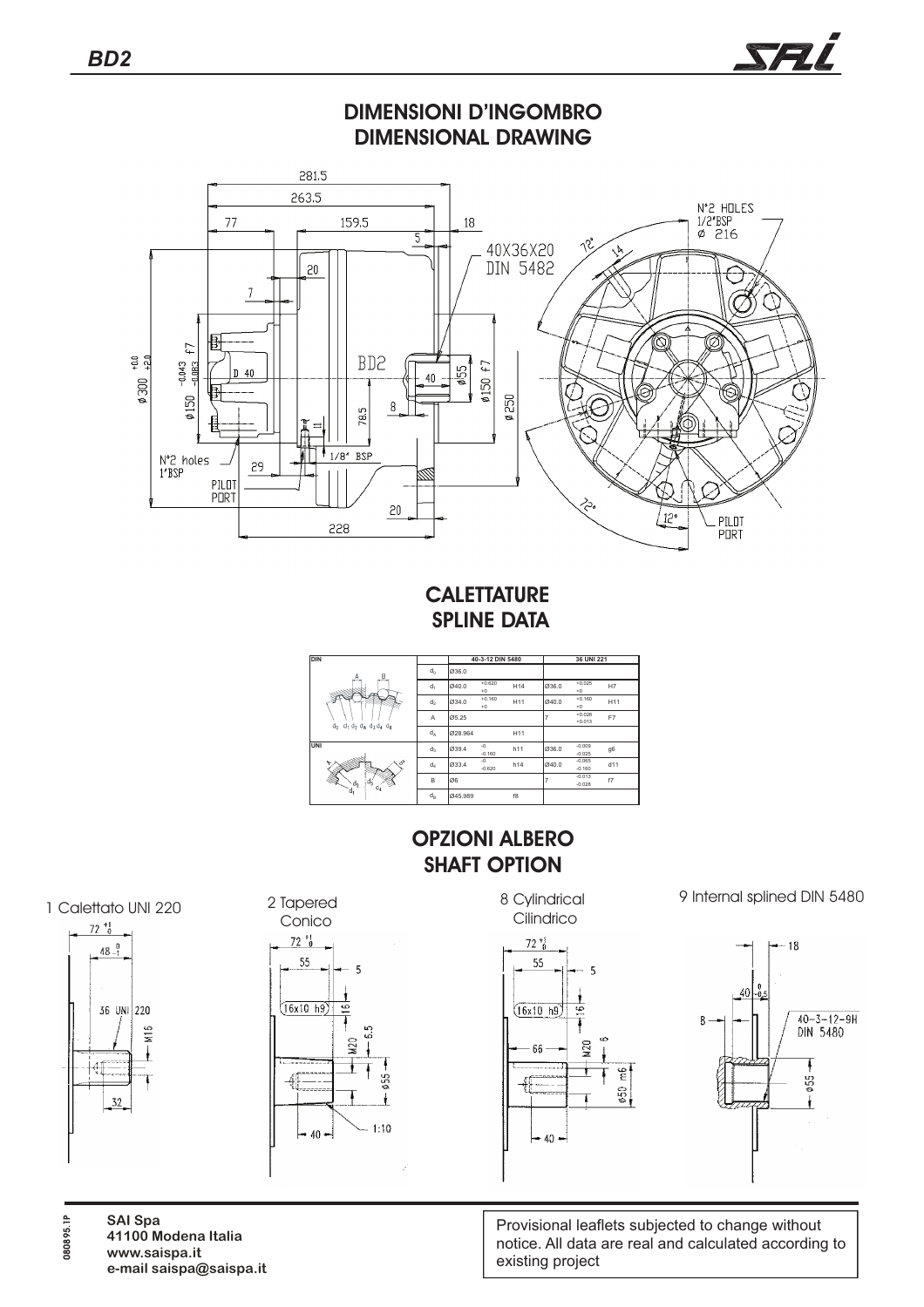

Provisional leaflets subjected to change without notice. All data are real and calculated according to existing project

**SAI Spa 41100 Modena Italia www.saispa.it**

**080895.1P**

 $72 \frac{+1}{6}$ 

41

 $32$ 

**e-mail saispa@saispa.it**

SFL

 $420$  $\frac{6}{5}$  $50$  $-40-$ 

 $1:10$ 

 $40 -$ 

τ \$55 ł